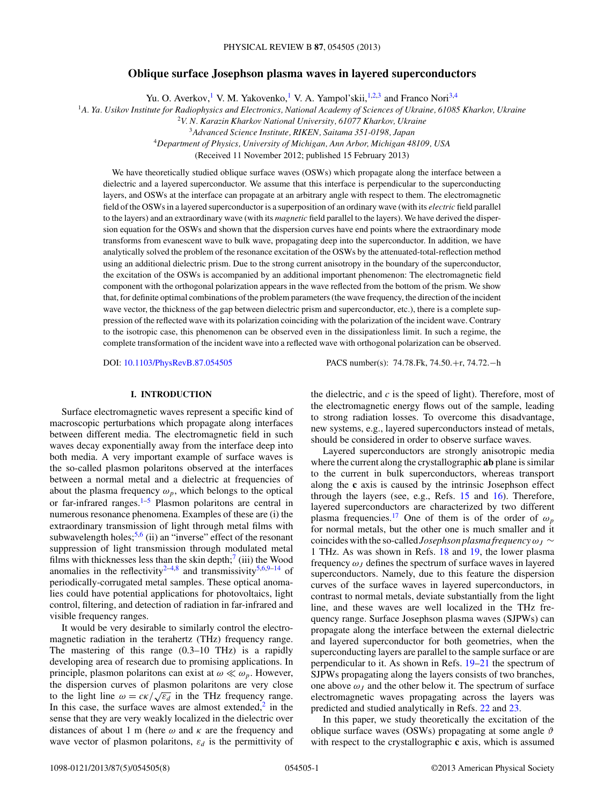# **Oblique surface Josephson plasma waves in layered superconductors**

Yu. O. Averkov,<sup>1</sup> V. M. Yakovenko,<sup>1</sup> V. A. Yampol'skii,<sup>1,2,3</sup> and Franco Nori<sup>3,4</sup>

<sup>1</sup>*A. Ya. Usikov Institute for Radiophysics and Electronics, National Academy of Sciences of Ukraine, 61085 Kharkov, Ukraine*

<sup>2</sup>*V. N. Karazin Kharkov National University, 61077 Kharkov, Ukraine*

<sup>3</sup>*Advanced Science Institute, RIKEN, Saitama 351-0198, Japan*

<sup>4</sup>*Department of Physics, University of Michigan, Ann Arbor, Michigan 48109, USA*

(Received 11 November 2012; published 15 February 2013)

We have theoretically studied oblique surface waves (OSWs) which propagate along the interface between a dielectric and a layered superconductor. We assume that this interface is perpendicular to the superconducting layers, and OSWs at the interface can propagate at an arbitrary angle with respect to them. The electromagnetic field of the OSWs in a layered superconductor is a superposition of an ordinary wave (with its *electric* field parallel to the layers) and an extraordinary wave (with its *magnetic* field parallel to the layers). We have derived the dispersion equation for the OSWs and shown that the dispersion curves have end points where the extraordinary mode transforms from evanescent wave to bulk wave, propagating deep into the superconductor. In addition, we have analytically solved the problem of the resonance excitation of the OSWs by the attenuated-total-reflection method using an additional dielectric prism. Due to the strong current anisotropy in the boundary of the superconductor, the excitation of the OSWs is accompanied by an additional important phenomenon: The electromagnetic field component with the orthogonal polarization appears in the wave reflected from the bottom of the prism. We show that, for definite optimal combinations of the problem parameters (the wave frequency, the direction of the incident wave vector, the thickness of the gap between dielectric prism and superconductor, etc.), there is a complete suppression of the reflected wave with its polarization coinciding with the polarization of the incident wave. Contrary to the isotropic case, this phenomenon can be observed even in the dissipationless limit. In such a regime, the complete transformation of the incident wave into a reflected wave with orthogonal polarization can be observed.

DOI: [10.1103/PhysRevB.87.054505](http://dx.doi.org/10.1103/PhysRevB.87.054505) PACS number(s): 74*.*78*.*Fk, 74*.*50*.*+r, 74*.*72*.*−h

### **I. INTRODUCTION**

Surface electromagnetic waves represent a specific kind of macroscopic perturbations which propagate along interfaces between different media. The electromagnetic field in such waves decay exponentially away from the interface deep into both media. A very important example of surface waves is the so-called plasmon polaritons observed at the interfaces between a normal metal and a dielectric at frequencies of about the plasma frequency  $\omega_p$ , which belongs to the optical or far-infrared ranges. $1-5$  $1-5$  Plasmon polaritons are central in numerous resonance phenomena. Examples of these are (i) the extraordinary transmission of light through metal films with subwavelength holes;<sup>[5,6](#page-7-0)</sup> (ii) an "inverse" effect of the resonant suppression of light transmission through modulated metal films with thicknesses less than the skin depth; $\frac{7}{1}$  (iii) the Wood anomalies in the reflectivity<sup>2[–4,8](#page-7-0)</sup> and transmissivity<sup>5,6,9–14</sup> of periodically-corrugated metal samples. These optical anomalies could have potential applications for photovoltaics, light control, filtering, and detection of radiation in far-infrared and visible frequency ranges.

It would be very desirable to similarly control the electromagnetic radiation in the terahertz (THz) frequency range. The mastering of this range (0.3–10 THz) is a rapidly developing area of research due to promising applications. In principle, plasmon polaritons can exist at  $\omega \ll \omega_p$ . However, the dispersion curves of plasmon polaritons are very close to the light line  $\omega = c\kappa / \sqrt{\varepsilon_d}$  in the THz frequency range. In this case, the surface waves are almost extended, $\frac{2}{3}$  in the sense that they are very weakly localized in the dielectric over distances of about 1 m (here *ω* and *κ* are the frequency and wave vector of plasmon polaritons, *εd* is the permittivity of the dielectric, and *c* is the speed of light). Therefore, most of the electromagnetic energy flows out of the sample, leading to strong radiation losses. To overcome this disadvantage, new systems, e.g., layered superconductors instead of metals, should be considered in order to observe surface waves.

Layered superconductors are strongly anisotropic media where the current along the crystallographic **ab** plane is similar to the current in bulk superconductors, whereas transport along the **c** axis is caused by the intrinsic Josephson effect through the layers (see, e.g., Refs. [15](#page-7-0) and [16\)](#page-7-0). Therefore, layered superconductors are characterized by two different plasma frequencies.<sup>17</sup> One of them is of the order of  $\omega_p$ for normal metals, but the other one is much smaller and it coincides with the so-called *Josephson plasma frequencyωJ* ∼ 1 THz. As was shown in Refs. [18](#page-7-0) and [19,](#page-7-0) the lower plasma frequency  $\omega_I$  defines the spectrum of surface waves in layered superconductors. Namely, due to this feature the dispersion curves of the surface waves in layered superconductors, in contrast to normal metals, deviate substantially from the light line, and these waves are well localized in the THz frequency range. Surface Josephson plasma waves (SJPWs) can propagate along the interface between the external dielectric and layered superconductor for both geometries, when the superconducting layers are parallel to the sample surface or are perpendicular to it. As shown in Refs. [19–21](#page-7-0) the spectrum of SJPWs propagating along the layers consists of two branches, one above  $\omega_J$  and the other below it. The spectrum of surface electromagnetic waves propagating across the layers was predicted and studied analytically in Refs. [22](#page-7-0) and [23.](#page-7-0)

In this paper, we study theoretically the excitation of the oblique surface waves (OSWs) propagating at some angle *ϑ* with respect to the crystallographic **c** axis, which is assumed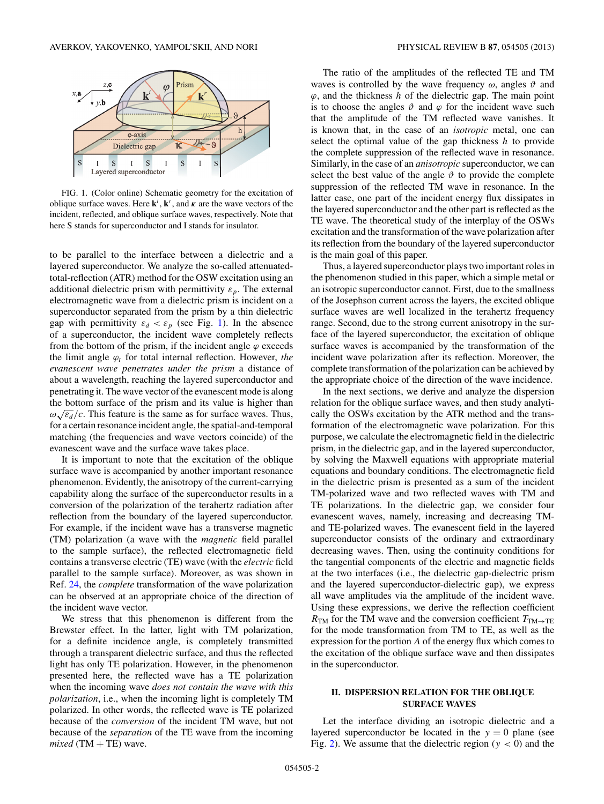<span id="page-1-0"></span>

FIG. 1. (Color online) Schematic geometry for the excitation of oblique surface waves. Here  $\mathbf{k}^i$ ,  $\mathbf{k}^r$ , and  $\kappa$  are the wave vectors of the incident, reflected, and oblique surface waves, respectively. Note that here S stands for superconductor and I stands for insulator.

to be parallel to the interface between a dielectric and a layered superconductor. We analyze the so-called attenuatedtotal-reflection (ATR) method for the OSW excitation using an additional dielectric prism with permittivity  $\varepsilon_p$ . The external electromagnetic wave from a dielectric prism is incident on a superconductor separated from the prism by a thin dielectric gap with permittivity  $\varepsilon_d < \varepsilon_p$  (see Fig. 1). In the absence of a superconductor, the incident wave completely reflects from the bottom of the prism, if the incident angle  $\varphi$  exceeds the limit angle  $\varphi_t$  for total internal reflection. However, *the evanescent wave penetrates under the prism* a distance of about a wavelength, reaching the layered superconductor and penetrating it. The wave vector of the evanescent mode is along the bottom surface of the prism and its value is higher than  $\omega\sqrt{\epsilon_d}/c$ . This feature is the same as for surface waves. Thus, for a certain resonance incident angle, the spatial-and-temporal matching (the frequencies and wave vectors coincide) of the evanescent wave and the surface wave takes place.

It is important to note that the excitation of the oblique surface wave is accompanied by another important resonance phenomenon. Evidently, the anisotropy of the current-carrying capability along the surface of the superconductor results in a conversion of the polarization of the terahertz radiation after reflection from the boundary of the layered superconductor. For example, if the incident wave has a transverse magnetic (TM) polarization (a wave with the *magnetic* field parallel to the sample surface), the reflected electromagnetic field contains a transverse electric (TE) wave (with the *electric* field parallel to the sample surface). Moreover, as was shown in Ref. [24,](#page-7-0) the *complete* transformation of the wave polarization can be observed at an appropriate choice of the direction of the incident wave vector.

We stress that this phenomenon is different from the Brewster effect. In the latter, light with TM polarization, for a definite incidence angle, is completely transmitted through a transparent dielectric surface, and thus the reflected light has only TE polarization. However, in the phenomenon presented here, the reflected wave has a TE polarization when the incoming wave *does not contain the wave with this polarization*, i.e., when the incoming light is completely TM polarized. In other words, the reflected wave is TE polarized because of the *conversion* of the incident TM wave, but not because of the *separation* of the TE wave from the incoming *mixed* (TM  $+$  TE) wave.

The ratio of the amplitudes of the reflected TE and TM waves is controlled by the wave frequency  $\omega$ , angles  $\vartheta$  and *ϕ*, and the thickness *h* of the dielectric gap. The main point is to choose the angles  $\vartheta$  and  $\varphi$  for the incident wave such that the amplitude of the TM reflected wave vanishes. It is known that, in the case of an *isotropic* metal, one can select the optimal value of the gap thickness *h* to provide the complete suppression of the reflected wave in resonance. Similarly, in the case of an *anisotropic* superconductor, we can select the best value of the angle  $\vartheta$  to provide the complete suppression of the reflected TM wave in resonance. In the latter case, one part of the incident energy flux dissipates in the layered superconductor and the other part is reflected as the TE wave. The theoretical study of the interplay of the OSWs excitation and the transformation of the wave polarization after its reflection from the boundary of the layered superconductor is the main goal of this paper.

Thus, a layered superconductor plays two important roles in the phenomenon studied in this paper, which a simple metal or an isotropic superconductor cannot. First, due to the smallness of the Josephson current across the layers, the excited oblique surface waves are well localized in the terahertz frequency range. Second, due to the strong current anisotropy in the surface of the layered superconductor, the excitation of oblique surface waves is accompanied by the transformation of the incident wave polarization after its reflection. Moreover, the complete transformation of the polarization can be achieved by the appropriate choice of the direction of the wave incidence.

In the next sections, we derive and analyze the dispersion relation for the oblique surface waves, and then study analytically the OSWs excitation by the ATR method and the transformation of the electromagnetic wave polarization. For this purpose, we calculate the electromagnetic field in the dielectric prism, in the dielectric gap, and in the layered superconductor, by solving the Maxwell equations with appropriate material equations and boundary conditions. The electromagnetic field in the dielectric prism is presented as a sum of the incident TM-polarized wave and two reflected waves with TM and TE polarizations. In the dielectric gap, we consider four evanescent waves, namely, increasing and decreasing TMand TE-polarized waves. The evanescent field in the layered superconductor consists of the ordinary and extraordinary decreasing waves. Then, using the continuity conditions for the tangential components of the electric and magnetic fields at the two interfaces (i.e., the dielectric gap-dielectric prism and the layered superconductor-dielectric gap), we express all wave amplitudes via the amplitude of the incident wave. Using these expressions, we derive the reflection coefficient  $R_{TM}$  for the TM wave and the conversion coefficient  $T_{TM\rightarrow TE}$ for the mode transformation from TM to TE, as well as the expression for the portion *A* of the energy flux which comes to the excitation of the oblique surface wave and then dissipates in the superconductor.

## **II. DISPERSION RELATION FOR THE OBLIQUE SURFACE WAVES**

Let the interface dividing an isotropic dielectric and a layered superconductor be located in the  $y = 0$  plane (see Fig. [2\)](#page-2-0). We assume that the dielectric region  $(y < 0)$  and the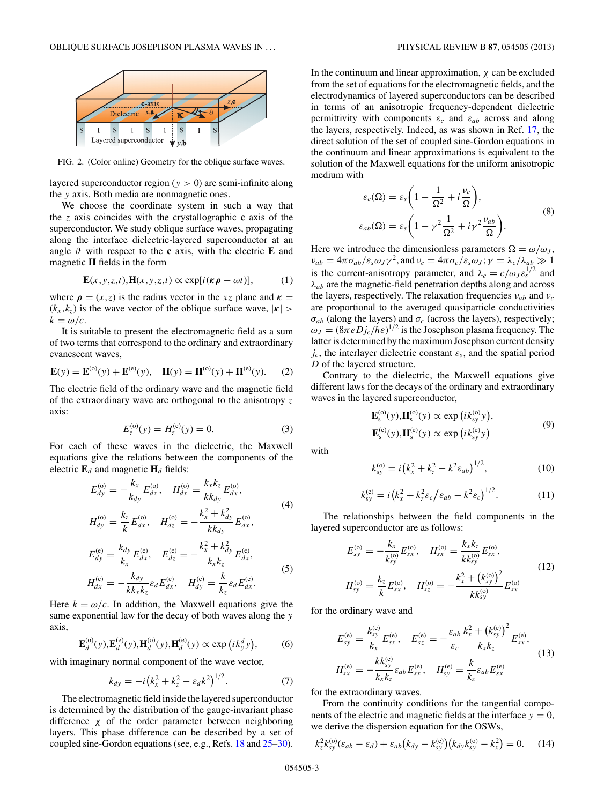<span id="page-2-0"></span>

FIG. 2. (Color online) Geometry for the oblique surface waves.

layered superconductor region (*y >* 0) are semi-infinite along the *y* axis. Both media are nonmagnetic ones.

We choose the coordinate system in such a way that the *z* axis coincides with the crystallographic **c** axis of the superconductor. We study oblique surface waves, propagating along the interface dielectric-layered superconductor at an angle  $\vartheta$  with respect to the **c** axis, with the electric **E** and magnetic **H** fields in the form

$$
\mathbf{E}(x, y, z, t), \mathbf{H}(x, y, z, t) \propto \exp[i(\kappa \rho - \omega t)], \quad (1)
$$

where  $\rho = (x, z)$  is the radius vector in the *xz* plane and  $\kappa =$  $(k_x, k_z)$  is the wave vector of the oblique surface wave,  $|\kappa| >$  $k = \omega/c$ .

It is suitable to present the electromagnetic field as a sum of two terms that correspond to the ordinary and extraordinary evanescent waves,

$$
\mathbf{E}(y) = \mathbf{E}^{(0)}(y) + \mathbf{E}^{(e)}(y), \quad \mathbf{H}(y) = \mathbf{H}^{(0)}(y) + \mathbf{H}^{(e)}(y).
$$
 (2)

The electric field of the ordinary wave and the magnetic field of the extraordinary wave are orthogonal to the anisotropy *z* axis:

$$
E_z^{(0)}(y) = H_z^{(e)}(y) = 0.
$$
 (3)

For each of these waves in the dielectric, the Maxwell equations give the relations between the components of the electric  $\mathbf{E}_d$  and magnetic  $\mathbf{H}_d$  fields:

$$
E_{dy}^{(o)} = -\frac{k_x}{k_{dy}} E_{dx}^{(o)}, \quad H_{dx}^{(o)} = \frac{k_x k_z}{k_{dy}} E_{dx}^{(o)},
$$
  
\n
$$
H_{dy}^{(o)} = \frac{k_z}{k} E_{dx}^{(o)}, \quad H_{dz}^{(o)} = -\frac{k_x^2 + k_{dy}^2}{k k_{dy}} E_{dx}^{(o)},
$$
  
\n
$$
E_{dy}^{(e)} = \frac{k_{dy}}{k_x} E_{dx}^{(e)}, \quad E_{dz}^{(e)} = -\frac{k_x^2 + k_{dy}^2}{k_x k_z} E_{dx}^{(e)},
$$
  
\n
$$
H_{dx}^{(e)} = -\frac{k_{dy}}{k_k k_z} \varepsilon_d E_{dx}^{(e)}, \quad H_{dy}^{(e)} = \frac{k}{k_z} \varepsilon_d E_{dx}^{(e)}.
$$
  
\n(5)

Here  $k = \omega/c$ . In addition, the Maxwell equations give the same exponential law for the decay of both waves along the *y* axis,

$$
\mathbf{E}_d^{(o)}(y), \mathbf{E}_d^{(e)}(y), \mathbf{H}_d^{(o)}(y), \mathbf{H}_d^{(e)}(y) \propto \exp\left(ik_y^dy\right),\tag{6}
$$

with imaginary normal component of the wave vector,

$$
k_{dy} = -i\left(k_x^2 + k_z^2 - \varepsilon_d k^2\right)^{1/2}.\tag{7}
$$

The electromagnetic field inside the layered superconductor is determined by the distribution of the gauge-invariant phase difference *χ* of the order parameter between neighboring layers. This phase difference can be described by a set of coupled sine-Gordon equations (see, e.g., Refs. [18](#page-7-0) and [25–30\)](#page-7-0).

In the continuum and linear approximation,  $\chi$  can be excluded from the set of equations for the electromagnetic fields, and the electrodynamics of layered superconductors can be described in terms of an anisotropic frequency-dependent dielectric permittivity with components  $\varepsilon_c$  and  $\varepsilon_{ab}$  across and along the layers, respectively. Indeed, as was shown in Ref. [17,](#page-7-0) the direct solution of the set of coupled sine-Gordon equations in the continuum and linear approximations is equivalent to the solution of the Maxwell equations for the uniform anisotropic medium with

$$
\varepsilon_c(\Omega) = \varepsilon_s \left( 1 - \frac{1}{\Omega^2} + i \frac{v_c}{\Omega} \right),
$$
  
\n
$$
\varepsilon_{ab}(\Omega) = \varepsilon_s \left( 1 - \gamma^2 \frac{1}{\Omega^2} + i \gamma^2 \frac{v_{ab}}{\Omega} \right).
$$
\n(8)

Here we introduce the dimensionless parameters  $\Omega = \omega/\omega_J$ ,  $v_{ab} = 4\pi \sigma_{ab}/\varepsilon_s \omega_J \gamma^2$ , and  $v_c = 4\pi \sigma_c/\varepsilon_s \omega_J$ ;  $\gamma = \lambda_c/\lambda_{ab} \gg 1$ is the current-anisotropy parameter, and  $\lambda_c = c/\omega_J \epsilon_s^{1/2}$  and *λab* are the magnetic-field penetration depths along and across the layers, respectively. The relaxation frequencies *νab* and *νc* are proportional to the averaged quasiparticle conductivities  $\sigma_{ab}$  (along the layers) and  $\sigma_c$  (across the layers), respectively;  $\omega_J = (8\pi e D j_c/\hbar \varepsilon)^{1/2}$  is the Josephson plasma frequency. The latter is determined by the maximum Josephson current density  $j_c$ , the interlayer dielectric constant  $\varepsilon_s$ , and the spatial period *D* of the layered structure.

Contrary to the dielectric, the Maxwell equations give different laws for the decays of the ordinary and extraordinary waves in the layered superconductor,

$$
\mathbf{E}_{s}^{(o)}(y), \mathbf{H}_{s}^{(o)}(y) \propto \exp\left(ik_{sy}^{(o)}y\right), \n\mathbf{E}_{s}^{(e)}(y), \mathbf{H}_{s}^{(e)}(y) \propto \exp\left(ik_{sy}^{(e)}y\right)
$$
\n(9)

with

$$
k_{\rm sy}^{(0)} = i \left( k_x^2 + k_z^2 - k^2 \varepsilon_{ab} \right)^{1/2},\tag{10}
$$

$$
k_{\rm sy}^{\rm (e)} = i \left( k_x^2 + k_z^2 \varepsilon_c / \varepsilon_{ab} - k^2 \varepsilon_c \right)^{1/2} . \tag{11}
$$

The relationships between the field components in the layered superconductor are as follows:

$$
E_{sy}^{(o)} = -\frac{k_x}{k_{sy}^{(o)}} E_{sx}^{(o)}, \quad H_{sx}^{(o)} = \frac{k_x k_z}{k k_{sy}^{(o)}} E_{sx}^{(o)},
$$
  

$$
H_{sy}^{(o)} = \frac{k_z}{k} E_{sx}^{(o)}, \quad H_{sz}^{(o)} = -\frac{k_x^2 + (k_{sy}^{(o)})^2}{k k_{sy}^{(o)}} E_{sx}^{(o)}
$$
(12)

for the ordinary wave and

$$
E_{sy}^{(e)} = \frac{k_{sy}^{(e)}}{k_x} E_{sx}^{(e)}, \quad E_{sz}^{(e)} = -\frac{\varepsilon_{ab}}{\varepsilon_c} \frac{k_x^2 + (k_{sy}^{(e)})^2}{k_x k_z} E_{sx}^{(e)},
$$
  
\n
$$
H_{sx}^{(e)} = -\frac{k k_{sy}^{(e)}}{k_x k_z} \varepsilon_{ab} E_{sx}^{(e)}, \quad H_{sy}^{(e)} = \frac{k}{k_z} \varepsilon_{ab} E_{sx}^{(e)}
$$
\n(13)

for the extraordinary waves.

From the continuity conditions for the tangential components of the electric and magnetic fields at the interface  $y = 0$ , we derive the dispersion equation for the OSWs,

$$
k_z^2 k_{sy}^{(0)}(\varepsilon_{ab} - \varepsilon_d) + \varepsilon_{ab} (k_{dy} - k_{sy}^{(e)}) (k_{dy} k_{sy}^{(0)} - k_x^2) = 0. \quad (14)
$$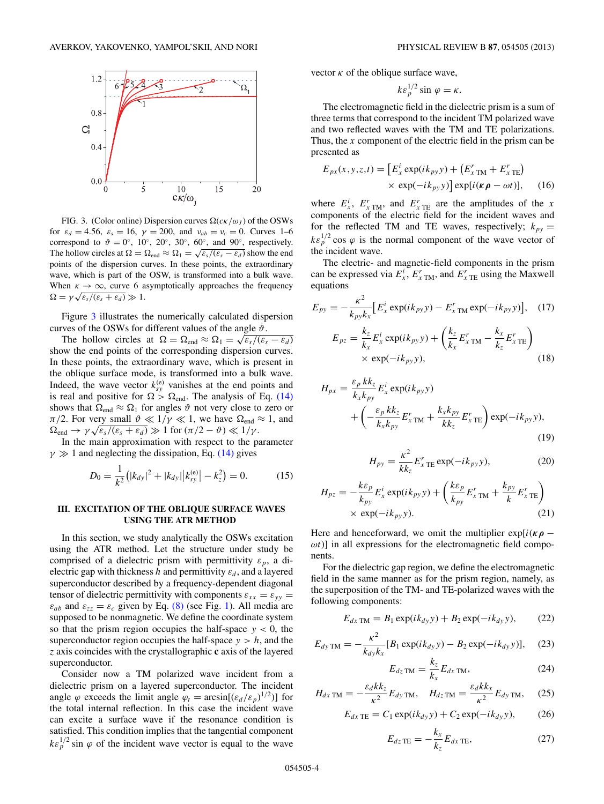<span id="page-3-0"></span>

FIG. 3. (Color online) Dispersion curves  $\Omega(c\kappa/\omega_J)$  of the OSWs for  $\varepsilon_d = 4.56$ ,  $\varepsilon_s = 16$ ,  $\gamma = 200$ , and  $v_{ab} = v_c = 0$ . Curves 1–6 correspond to  $\vartheta = 0^\circ$ , 10°, 20°, 30°, 60°, and 90°, respectively. The hollow circles at  $\Omega = \Omega_{end} \approx \Omega_1 = \sqrt{\varepsilon_s/(\varepsilon_s - \varepsilon_d)}$  show the end points of the dispersion curves. In these points, the extraordinary wave, which is part of the OSW, is transformed into a bulk wave. When  $\kappa \to \infty$ , curve 6 asymptotically approaches the frequency  $\Omega = \gamma \sqrt{\varepsilon_s/(\varepsilon_s + \varepsilon_d)} \gg 1.$ 

Figure 3 illustrates the numerically calculated dispersion curves of the OSWs for different values of the angle  $\vartheta$ .

The hollow circles at  $\Omega = \Omega_{end} \approx \Omega_1 = \sqrt{\varepsilon_s/(\varepsilon_s - \varepsilon_d)}$ show the end points of the corresponding dispersion curves. In these points, the extraordinary wave, which is present in the oblique surface mode, is transformed into a bulk wave. Indeed, the wave vector  $k_{sy}^{(e)}$  vanishes at the end points and is real and positive for  $\Omega > \Omega_{end}$ . The analysis of Eq. [\(14\)](#page-2-0) shows that  $\Omega_{end} \approx \Omega_1$  for angles  $\vartheta$  not very close to zero or  $\pi/2$ . For very small  $\vartheta \ll 1/\gamma \ll 1$ , we have  $\Omega_{end} \approx 1$ , and  $\Omega_{\text{end}} \rightarrow \gamma \sqrt{\varepsilon_s/(\varepsilon_s + \varepsilon_d)} \gg 1 \text{ for } (\pi/2 - \vartheta) \ll 1/\gamma.$ 

In the main approximation with respect to the parameter  $\gamma \gg 1$  and neglecting the dissipation, Eq. [\(14\)](#page-2-0) gives

$$
D_0 = \frac{1}{k^2} \left( |k_{dy}|^2 + |k_{dy}| \left| k_{sy}^{(e)} \right| - k_z^2 \right) = 0. \tag{15}
$$

# **III. EXCITATION OF THE OBLIQUE SURFACE WAVES USING THE ATR METHOD**

In this section, we study analytically the OSWs excitation using the ATR method. Let the structure under study be comprised of a dielectric prism with permittivity  $\varepsilon_p$ , a dielectric gap with thickness *h* and permittivity  $\varepsilon_d$ , and a layered superconductor described by a frequency-dependent diagonal tensor of dielectric permittivity with components  $\varepsilon_{xx} = \varepsilon_{yy}$  $\varepsilon_{ab}$  and  $\varepsilon_{zz} = \varepsilon_c$  given by Eq. [\(8\)](#page-2-0) (see Fig. [1\)](#page-1-0). All media are supposed to be nonmagnetic. We define the coordinate system so that the prism region occupies the half-space *y <* 0, the superconductor region occupies the half-space  $y > h$ , and the *z* axis coincides with the crystallographic **c** axis of the layered superconductor.

Consider now a TM polarized wave incident from a dielectric prism on a layered superconductor. The incident angle  $\varphi$  exceeds the limit angle  $\varphi_t = \arcsin[(\varepsilon_d/\varepsilon_p)^{1/2})]$  for the total internal reflection. In this case the incident wave can excite a surface wave if the resonance condition is satisfied. This condition implies that the tangential component  $k\epsilon_p^{1/2}$  sin  $\varphi$  of the incident wave vector is equal to the wave vector  $\kappa$  of the oblique surface wave,

$$
k\varepsilon_p^{1/2}\sin\,\varphi=\kappa.
$$

The electromagnetic field in the dielectric prism is a sum of three terms that correspond to the incident TM polarized wave and two reflected waves with the TM and TE polarizations. Thus, the *x* component of the electric field in the prism can be presented as

$$
E_{px}(x, y, z, t) = \left[E_x^i \exp(ik_{py}y) + \left(E_{x \text{ TM}}^r + E_{x \text{ TE}}^r\right) \right] \times \exp(-ik_{py}y) \right] \exp[i(\kappa \rho - \omega t)], \quad (16)
$$

where  $E_x^i$ ,  $E_x^r$ <sub>X</sub>T<sub>M</sub>, and  $E_x^r$ <sub>TE</sub> are the amplitudes of the *x* components of the electric field for the incident waves and for the reflected TM and TE waves, respectively;  $k_{pv}$  =  $k\epsilon_p^{1/2}$  cos  $\varphi$  is the normal component of the wave vector of the incident wave.

The electric- and magnetic-field components in the prism can be expressed via  $E_x^i$ ,  $E_x^r$ <sub>TM</sub>, and  $E_x^r$ <sub>TE</sub> using the Maxwell equations

$$
E_{py} = -\frac{\kappa^2}{k_{py}k_x} \Big[ E_x^i \exp(ik_{py}y) - E_x^r \cos(-ik_{py}y) \Big], \quad (17)
$$
  

$$
E_{pz} = \frac{k_z}{k_x} E_x^i \exp(ik_{py}y) + \left( \frac{k_z}{k_x} E_x^r \cos(-ik_{zx}z) - \frac{k_x}{k_z} E_x^r \cos(-ik_{py}z) \right)
$$
  

$$
\times \exp(-ik_{py}y), \quad (18)
$$

$$
H_{px} = \frac{\varepsilon_p k k_z}{k_x k_{py}} E_x^i \exp(ik_{py} y)
$$
  
+ 
$$
\left(-\frac{\varepsilon_p k k_z}{k_x k_{py}} E_x^r \exp\left(-ik_{py} y\right)\right)
$$
  
+ 
$$
\left(-\frac{\varepsilon_p k k_z}{k_x k_{py}} E_x^r \exp\left(-ik_{py} y\right)\right)
$$
 (19)

$$
H_{py} = \frac{\kappa^2}{kk_z} E_{x \text{ TE}}^r \exp(-ik_{py}y), \tag{20}
$$

$$
H_{pz} = -\frac{k\varepsilon_p}{k_{py}} E_x^i \exp(ik_{py}y) + \left(\frac{k\varepsilon_p}{k_{py}} E_x^r \exp\left(-ik_{py}y\right)\right) \times \exp(-ik_{py}y). \tag{21}
$$

Here and henceforward, we omit the multiplier  $exp[i(\kappa \rho - \sigma)]$ *ωt*)] in all expressions for the electromagnetic field components.

For the dielectric gap region, we define the electromagnetic field in the same manner as for the prism region, namely, as the superposition of the TM- and TE-polarized waves with the following components:

$$
E_{dx \text{TM}} = B_1 \exp(ik_{dy} y) + B_2 \exp(-ik_{dy} y), \tag{22}
$$

$$
E_{dy \text{TM}} = -\frac{\kappa^2}{k_{dy}k_x} [B_1 \exp(ik_{dy} y) - B_2 \exp(-ik_{dy} y)], \quad (23)
$$

$$
E_{dz \text{TM}} = \frac{k_z}{k_x} E_{dx \text{TM}}, \qquad (24)
$$

$$
H_{dx \text{TM}} = -\frac{\varepsilon_d k k_z}{\kappa^2} E_{dy \text{TM}}, \quad H_{dz \text{TM}} = \frac{\varepsilon_d k k_x}{\kappa^2} E_{dy \text{TM}}, \quad (25)
$$

$$
E_{dx \text{ TE}} = C_1 \exp(ik_{dy} y) + C_2 \exp(-ik_{dy} y), \tag{26}
$$

$$
E_{dz\,TE} = -\frac{k_x}{k_z} E_{dx\,TE},\tag{27}
$$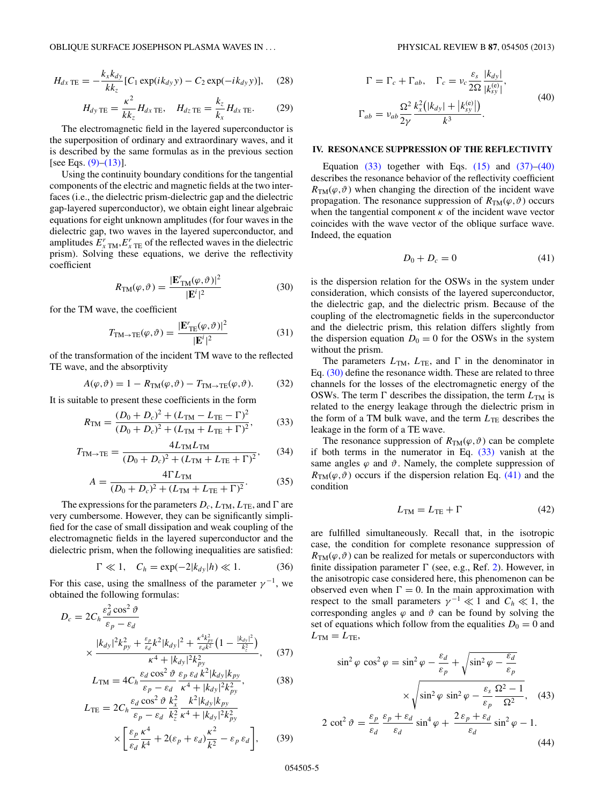<span id="page-4-0"></span>
$$
H_{dx\,TE} = -\frac{k_x k_{dy}}{k k_z} [C_1 \exp(ik_{dy} y) - C_2 \exp(-ik_{dy} y)], \quad (28)
$$

$$
H_{dy \, \text{TE}} = \frac{\kappa^2}{k k_z} H_{dx \, \text{TE}}, \quad H_{dz \, \text{TE}} = \frac{k_z}{k_x} H_{dx \, \text{TE}}.
$$
 (29)

The electromagnetic field in the layered superconductor is the superposition of ordinary and extraordinary waves, and it is described by the same formulas as in the previous section [see Eqs.  $(9)$ – $(13)$ ].

Using the continuity boundary conditions for the tangential components of the electric and magnetic fields at the two interfaces (i.e., the dielectric prism-dielectric gap and the dielectric gap-layered superconductor), we obtain eight linear algebraic equations for eight unknown amplitudes (for four waves in the dielectric gap, two waves in the layered superconductor, and amplitudes  $E_{x,\text{TM}}^r$ ,  $E_{x,\text{TE}}^r$  of the reflected waves in the dielectric prism). Solving these equations, we derive the reflectivity coefficient

$$
R_{\rm TM}(\varphi,\vartheta) = \frac{|\mathbf{E}_{\rm TM}^r(\varphi,\vartheta)|^2}{|\mathbf{E}^i|^2}
$$
(30)

for the TM wave, the coefficient

$$
T_{\text{TM}\to\text{TE}}(\varphi,\vartheta) = \frac{|\mathbf{E'}_{\text{TE}}(\varphi,\vartheta)|^2}{|\mathbf{E'}|^2}
$$
(31)

of the transformation of the incident TM wave to the reflected TE wave, and the absorptivity

$$
A(\varphi, \vartheta) = 1 - R_{\text{TM}}(\varphi, \vartheta) - T_{\text{TM} \to \text{TE}}(\varphi, \vartheta). \tag{32}
$$

It is suitable to present these coefficients in the form

$$
R_{\rm TM} = \frac{(D_0 + D_c)^2 + (L_{\rm TM} - L_{\rm TE} - \Gamma)^2}{(D_0 + D_c)^2 + (L_{\rm TM} + L_{\rm TE} + \Gamma)^2},\tag{33}
$$

$$
T_{\rm TM \to TE} = \frac{4L_{\rm TM}L_{\rm TM}}{(D_0 + D_c)^2 + (L_{\rm TM} + L_{\rm TE} + \Gamma)^2},\qquad(34)
$$

$$
A = \frac{4\Gamma L_{\text{TM}}}{(D_0 + D_c)^2 + (L_{\text{TM}} + L_{\text{TE}} + \Gamma)^2}.
$$
 (35)

The expressions for the parameters  $D_c$ ,  $L_{TM}$ ,  $L_{TE}$ , and  $\Gamma$  are very cumbersome. However, they can be significantly simplified for the case of small dissipation and weak coupling of the electromagnetic fields in the layered superconductor and the dielectric prism, when the following inequalities are satisfied:

$$
\Gamma \ll 1, \quad C_h = \exp(-2|k_{dy}|h) \ll 1. \tag{36}
$$

For this case, using the smallness of the parameter  $\gamma^{-1}$ , we obtained the following formulas:

$$
D_c = 2C_h \frac{\varepsilon_d^2 \cos^2 \vartheta}{\varepsilon_p - \varepsilon_d}
$$
  
 
$$
\times \frac{|k_{dy}|^2 k_{py}^2 + \frac{\varepsilon_p}{\varepsilon_d} k^2 |k_{dy}|^2 + \frac{\kappa^4 k_{py}^2}{\varepsilon_d k^2} \left(1 - \frac{|k_{dy}|^2}{k_z^2}\right)}{\kappa^4 + |k_{dy}|^2 k_{py}^2},
$$
 (37)

$$
L_{\text{TM}} = 4C_h \frac{\varepsilon_d \cos^2 \vartheta}{\varepsilon_p - \varepsilon_d} \frac{\varepsilon_p \varepsilon_d \, k^2 |k_{dy}| k_{py}}{\kappa^4 + |k_{dy}|^2 k_{py}^2},\tag{38}
$$

$$
L_{\rm TE} = 2C_h \frac{\varepsilon_d \cos^2 \vartheta}{\varepsilon_p - \varepsilon_d} \frac{k_x^2}{k_z^2} \frac{k^2 |k_{dy}| k_{py}}{\kappa^4 + |k_{dy}|^2 k_{py}^2}
$$

$$
\times \left[ \frac{\varepsilon_p}{\varepsilon_d} \frac{\kappa^4}{k^4} + 2(\varepsilon_p + \varepsilon_d) \frac{\kappa^2}{k^2} - \varepsilon_p \varepsilon_d \right], \qquad (39)
$$

$$
\Gamma = \Gamma_c + \Gamma_{ab}, \quad \Gamma_c = \nu_c \frac{\varepsilon_s}{2\Omega} \frac{|k_{dy}|}{|k_{sy}^{(e)}|},
$$
\n
$$
\Gamma_{ab} = \nu_{ab} \frac{\Omega^2}{2\gamma} \frac{k_x^2 \left(|k_{dy}| + |k_{sy}^{(e)}|\right)}{k^3}.
$$
\n(40)

#### **IV. RESONANCE SUPPRESSION OF THE REFLECTIVITY**

Equation  $(33)$  together with Eqs.  $(15)$  and  $(37)–(40)$ describes the resonance behavior of the reflectivity coefficient  $R_{\text{TM}}(\varphi,\vartheta)$  when changing the direction of the incident wave propagation. The resonance suppression of  $R_{TM}(\varphi, \vartheta)$  occurs when the tangential component  $\kappa$  of the incident wave vector coincides with the wave vector of the oblique surface wave. Indeed, the equation

$$
D_0 + D_c = 0 \tag{41}
$$

is the dispersion relation for the OSWs in the system under consideration, which consists of the layered superconductor, the dielectric gap, and the dielectric prism. Because of the coupling of the electromagnetic fields in the superconductor and the dielectric prism, this relation differs slightly from the dispersion equation  $D_0 = 0$  for the OSWs in the system without the prism.

The parameters  $L_{TM}$ ,  $L_{TE}$ , and  $\Gamma$  in the denominator in Eq. (30) define the resonance width. These are related to three channels for the losses of the electromagnetic energy of the OSWs. The term  $\Gamma$  describes the dissipation, the term  $L_{TM}$  is related to the energy leakage through the dielectric prism in the form of a TM bulk wave, and the term  $L_{TE}$  describes the leakage in the form of a TE wave.

The resonance suppression of  $R_{TM}(\varphi, \vartheta)$  can be complete if both terms in the numerator in Eq.  $(33)$  vanish at the same angles  $\varphi$  and  $\vartheta$ . Namely, the complete suppression of  $R_{TM}(\varphi, \vartheta)$  occurs if the dispersion relation Eq. (41) and the condition

$$
L_{\text{TM}} = L_{\text{TE}} + \Gamma \tag{42}
$$

are fulfilled simultaneously. Recall that, in the isotropic case, the condition for complete resonance suppression of  $R_{\text{TM}}(\varphi,\vartheta)$  can be realized for metals or superconductors with finite dissipation parameter  $\Gamma$  (see, e.g., Ref. [2\)](#page-6-0). However, in the anisotropic case considered here, this phenomenon can be observed even when  $\Gamma = 0$ . In the main approximation with respect to the small parameters  $\gamma^{-1} \ll 1$  and  $C_h \ll 1$ , the corresponding angles  $\varphi$  and  $\vartheta$  can be found by solving the set of equations which follow from the equalities  $D_0 = 0$  and  $L_{\text{TM}} = L_{\text{TE}},$ 

$$
\sin^2 \varphi \cos^2 \varphi = \sin^2 \varphi - \frac{\varepsilon_d}{\varepsilon_p} + \sqrt{\sin^2 \varphi - \frac{\varepsilon_d}{\varepsilon_p}}
$$

$$
\times \sqrt{\sin^2 \varphi \sin^2 \varphi - \frac{\varepsilon_s}{\varepsilon_p} \frac{\Omega^2 - 1}{\Omega^2}}, \quad (43)
$$

$$
2 \cot^2 \vartheta = \frac{\varepsilon_p}{\varepsilon_d} \frac{\varepsilon_p + \varepsilon_d}{\varepsilon_d} \sin^4 \varphi + \frac{2 \varepsilon_p + \varepsilon_d}{\varepsilon_d} \sin^2 \varphi - 1.
$$

$$
\mathcal{L}^{\mathcal{L}}(\mathcal{L}^{\mathcal{L}}(\mathcal{L}))
$$

(44)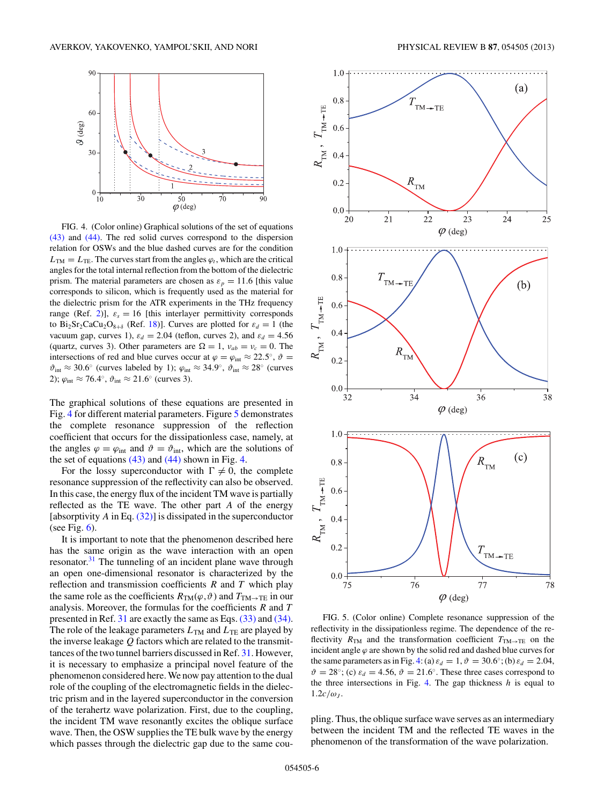

FIG. 4. (Color online) Graphical solutions of the set of equations [\(43\)](#page-4-0) and [\(44\).](#page-4-0) The red solid curves correspond to the dispersion relation for OSWs and the blue dashed curves are for the condition  $L_{\text{TM}} = L_{\text{TE}}$ . The curves start from the angles  $\varphi_t$ , which are the critical angles for the total internal reflection from the bottom of the dielectric prism. The material parameters are chosen as  $\varepsilon_p = 11.6$  [this value corresponds to silicon, which is frequently used as the material for the dielectric prism for the ATR experiments in the THz frequency range (Ref. [2\)](#page-6-0)],  $\varepsilon_s = 16$  [this interlayer permittivity corresponds to  $Bi_2Sr_2CaCu_2O_{8+\delta}$  (Ref. [18\)](#page-7-0)]. Curves are plotted for  $\varepsilon_d = 1$  (the vacuum gap, curves 1),  $\varepsilon_d = 2.04$  (teflon, curves 2), and  $\varepsilon_d = 4.56$ (quartz, curves 3). Other parameters are  $\Omega = 1$ ,  $v_{ab} = v_c = 0$ . The intersections of red and blue curves occur at  $\varphi = \varphi_{\text{int}} \approx 22.5^{\circ}$ ,  $\vartheta =$  $\vartheta_{\text{int}}$  ≈ 30.6° (curves labeled by 1);  $\varphi_{\text{int}}$  ≈ 34.9°,  $\vartheta_{\text{int}}$  ≈ 28° (curves 2);  $\varphi_{\text{int}} \approx 76.4^{\circ}$ ,  $\vartheta_{\text{int}} \approx 21.6^{\circ}$  (curves 3).

The graphical solutions of these equations are presented in Fig. 4 for different material parameters. Figure 5 demonstrates the complete resonance suppression of the reflection coefficient that occurs for the dissipationless case, namely, at the angles  $\varphi = \varphi_{\text{int}}$  and  $\vartheta = \vartheta_{\text{int}}$ , which are the solutions of the set of equations  $(43)$  and  $(44)$  shown in Fig. 4.

For the lossy superconductor with  $\Gamma \neq 0$ , the complete resonance suppression of the reflectivity can also be observed. In this case, the energy flux of the incident TM wave is partially reflected as the TE wave. The other part *A* of the energy [absorptivity *A* in Eq. [\(32\)\]](#page-4-0) is dissipated in the superconductor (see Fig.  $6$ ).

It is important to note that the phenomenon described here has the same origin as the wave interaction with an open resonator.[31](#page-7-0) The tunneling of an incident plane wave through an open one-dimensional resonator is characterized by the reflection and transmission coefficients *R* and *T* which play the same role as the coefficients  $R_{TM}(\varphi, \vartheta)$  and  $T_{TM\rightarrow TE}$  in our analysis. Moreover, the formulas for the coefficients *R* and *T* presented in Ref. [31](#page-7-0) are exactly the same as Eqs. [\(33\)](#page-4-0) and [\(34\).](#page-4-0) The role of the leakage parameters  $L_{TM}$  and  $L_{TE}$  are played by the inverse leakage *Q* factors which are related to the transmittances of the two tunnel barriers discussed in Ref. [31.](#page-7-0) However, it is necessary to emphasize a principal novel feature of the phenomenon considered here. We now pay attention to the dual role of the coupling of the electromagnetic fields in the dielectric prism and in the layered superconductor in the conversion of the terahertz wave polarization. First, due to the coupling, the incident TM wave resonantly excites the oblique surface wave. Then, the OSW supplies the TE bulk wave by the energy which passes through the dielectric gap due to the same cou-



FIG. 5. (Color online) Complete resonance suppression of the reflectivity in the dissipationless regime. The dependence of the reflectivity  $R_{TM}$  and the transformation coefficient  $T_{TM\rightarrow TE}$  on the incident angle  $\varphi$  are shown by the solid red and dashed blue curves for the same parameters as in Fig. 4: (a)  $\varepsilon_d = 1$ ,  $\vartheta = 30.6^\circ$ ; (b)  $\varepsilon_d = 2.04$ ,  $\vartheta = 28^\circ$ ; (c)  $\varepsilon_d = 4.56$ ,  $\vartheta = 21.6^\circ$ . These three cases correspond to the three intersections in Fig. 4. The gap thickness *h* is equal to  $1.2c/\omega_J$ .

pling. Thus, the oblique surface wave serves as an intermediary between the incident TM and the reflected TE waves in the phenomenon of the transformation of the wave polarization.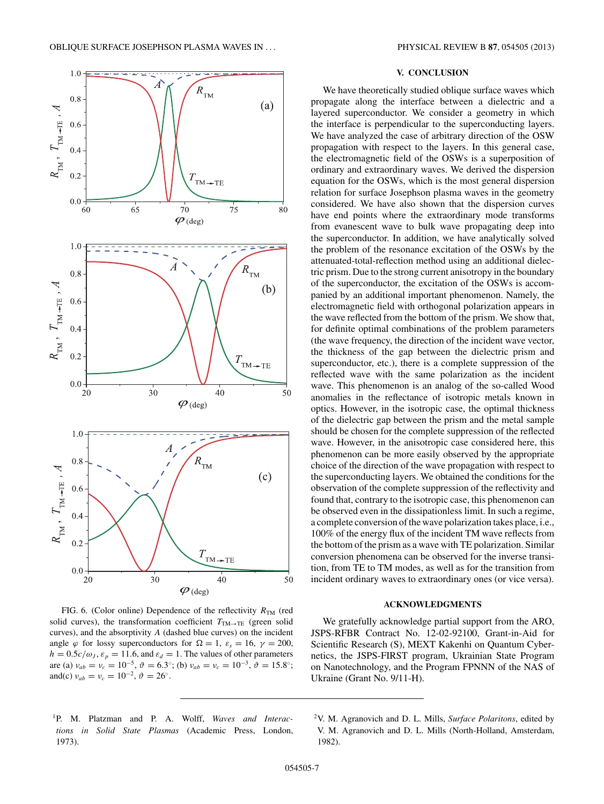<span id="page-6-0"></span>

FIG. 6. (Color online) Dependence of the reflectivity  $R_{TM}$  (red solid curves), the transformation coefficient  $T_{\text{TM}\rightarrow\text{TE}}$  (green solid curves), and the absorptivity *A* (dashed blue curves) on the incident angle  $\varphi$  for lossy superconductors for  $\Omega = 1$ ,  $\varepsilon_s = 16$ ,  $\gamma = 200$ ,  $h = 0.5c/\omega_J$ ,  $\varepsilon_p = 11.6$ , and  $\varepsilon_d = 1$ . The values of other parameters are (a)  $v_{ab} = v_c = 10^{-5}$ ,  $\vartheta = 6.3^\circ$ ; (b)  $v_{ab} = v_c = 10^{-3}$ ,  $\vartheta = 15.8^\circ$ ; and(c)  $v_{ab} = v_c = 10^{-2}, \vartheta = 26^\circ.$ 

## **V. CONCLUSION**

We have theoretically studied oblique surface waves which propagate along the interface between a dielectric and a layered superconductor. We consider a geometry in which the interface is perpendicular to the superconducting layers. We have analyzed the case of arbitrary direction of the OSW propagation with respect to the layers. In this general case, the electromagnetic field of the OSWs is a superposition of ordinary and extraordinary waves. We derived the dispersion equation for the OSWs, which is the most general dispersion relation for surface Josephson plasma waves in the geometry considered. We have also shown that the dispersion curves have end points where the extraordinary mode transforms from evanescent wave to bulk wave propagating deep into the superconductor. In addition, we have analytically solved the problem of the resonance excitation of the OSWs by the attenuated-total-reflection method using an additional dielectric prism. Due to the strong current anisotropy in the boundary of the superconductor, the excitation of the OSWs is accompanied by an additional important phenomenon. Namely, the electromagnetic field with orthogonal polarization appears in the wave reflected from the bottom of the prism. We show that, for definite optimal combinations of the problem parameters (the wave frequency, the direction of the incident wave vector, the thickness of the gap between the dielectric prism and superconductor, etc.), there is a complete suppression of the reflected wave with the same polarization as the incident wave. This phenomenon is an analog of the so-called Wood anomalies in the reflectance of isotropic metals known in optics. However, in the isotropic case, the optimal thickness of the dielectric gap between the prism and the metal sample should be chosen for the complete suppression of the reflected wave. However, in the anisotropic case considered here, this phenomenon can be more easily observed by the appropriate choice of the direction of the wave propagation with respect to the superconducting layers. We obtained the conditions for the observation of the complete suppression of the reflectivity and found that, contrary to the isotropic case, this phenomenon can be observed even in the dissipationless limit. In such a regime, a complete conversion of the wave polarization takes place, i.e., 100% of the energy flux of the incident TM wave reflects from the bottom of the prism as a wave with TE polarization. Similar conversion phenomena can be observed for the inverse transition, from TE to TM modes, as well as for the transition from incident ordinary waves to extraordinary ones (or vice versa).

#### **ACKNOWLEDGMENTS**

We gratefully acknowledge partial support from the ARO, JSPS-RFBR Contract No. 12-02-92100, Grant-in-Aid for Scientific Research (S), MEXT Kakenhi on Quantum Cybernetics, the JSPS-FIRST program, Ukrainian State Program on Nanotechnology, and the Program FPNNN of the NAS of Ukraine (Grant No. 9/11-H).

<sup>1</sup>P. M. Platzman and P. A. Wolff, *Waves and Interactions in Solid State Plasmas* (Academic Press, London, 1973).

<sup>2</sup>V. M. Agranovich and D. L. Mills, *Surface Polaritons*, edited by V. M. Agranovich and D. L. Mills (North-Holland, Amsterdam, 1982).